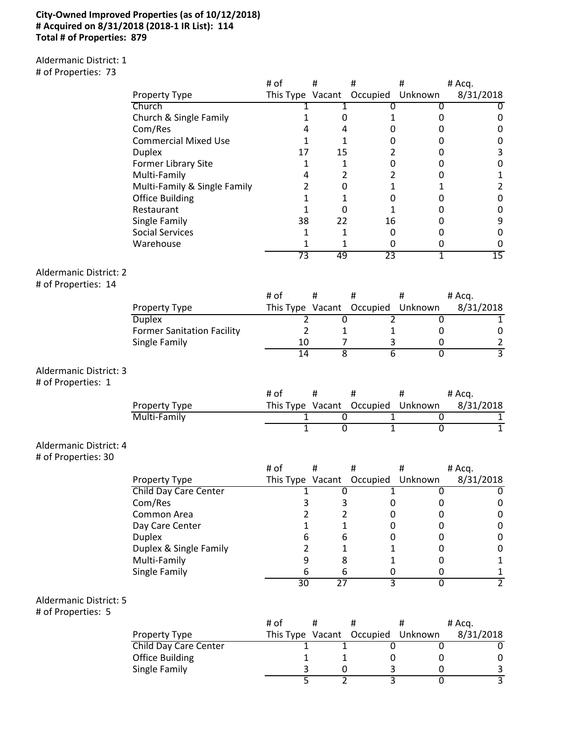## **City-Owned Improved Properties (as of 10/12/2018) # Acquired on 8/31/2018 (2018-1 IR List): 114 Total # of Properties: 879**

Aldermanic District: 1 # of Properties: 73

| $\pi$ or independent $\sigma$ . |                                   |                          |                           |                      |                |                                |
|---------------------------------|-----------------------------------|--------------------------|---------------------------|----------------------|----------------|--------------------------------|
|                                 | Property Type                     | # of<br>This Type Vacant | #                         | $\sharp$<br>Occupied | #<br>Unknown   | # Acq.<br>8/31/2018            |
|                                 | Church                            | 1                        | 1                         | 0                    | 0              | $\overline{0}$                 |
|                                 | Church & Single Family            | 1                        | 0                         | 1                    | 0              | $\pmb{0}$                      |
|                                 | Com/Res                           | 4                        | 4                         | 0                    | 0              | $\pmb{0}$                      |
|                                 | <b>Commercial Mixed Use</b>       | 1                        | $\mathbf{1}$              | 0                    | 0              | $\pmb{0}$                      |
|                                 | <b>Duplex</b>                     | 17                       | 15                        | 2                    | 0              | $\mathsf 3$                    |
|                                 | <b>Former Library Site</b>        | 1                        | $\mathbf{1}$              | $\boldsymbol{0}$     | 0              | $\pmb{0}$                      |
|                                 | Multi-Family                      | 4                        | $\overline{2}$            | $\overline{2}$       | 0              | $\mathbf 1$                    |
|                                 | Multi-Family & Single Family      | 2                        | 0                         | $\mathbf{1}$         | 1              | $\mathbf 2$                    |
|                                 | <b>Office Building</b>            | 1                        | 1                         | 0                    | 0              | $\pmb{0}$                      |
|                                 | Restaurant                        | 1                        | 0                         | 1                    | 0              | $\pmb{0}$                      |
|                                 | Single Family                     | 38                       | 22                        | 16                   | 0              | $\boldsymbol{9}$               |
|                                 | <b>Social Services</b>            | 1                        | 1                         | 0                    | 0              | $\pmb{0}$                      |
|                                 | Warehouse                         | 1                        | 1                         | 0                    | 0              | $\mathbf 0$                    |
|                                 |                                   | 73                       | 49                        | 23                   | 1              | 15                             |
|                                 |                                   |                          |                           |                      |                |                                |
| <b>Aldermanic District: 2</b>   |                                   |                          |                           |                      |                |                                |
| # of Properties: 14             |                                   |                          |                           |                      |                |                                |
|                                 |                                   | # of                     | #                         | #                    | #              | # Acq.                         |
|                                 | Property Type                     | This Type Vacant         |                           | Occupied             | Unknown        | 8/31/2018                      |
|                                 | <b>Duplex</b>                     | 2                        | $\overline{0}$            | 2                    | 0              | $\mathbf{1}$                   |
|                                 | <b>Former Sanitation Facility</b> | $\overline{2}$           | 1                         | 1                    | 0              | $\pmb{0}$                      |
|                                 | Single Family                     | 10                       | 7                         | 3                    | 0              | 2                              |
|                                 |                                   | 14                       | $\overline{\overline{8}}$ | 6                    | $\overline{0}$ | $\overline{3}$                 |
| Aldermanic District: 3          |                                   |                          |                           |                      |                |                                |
| # of Properties: 1              |                                   |                          |                           |                      |                |                                |
|                                 |                                   | # of                     | $\#$                      | #                    | #              | # Acq.                         |
|                                 | Property Type                     | This Type Vacant         |                           | Occupied             | Unknown        | 8/31/2018                      |
|                                 | Multi-Family                      | 1                        | $\overline{0}$            | 1                    | 0              | 1                              |
|                                 |                                   | $\overline{1}$           | $\overline{0}$            | $\overline{1}$       | $\overline{0}$ | $\overline{1}$                 |
|                                 |                                   |                          |                           |                      |                |                                |
| Aldermanic District: 4          |                                   |                          |                           |                      |                |                                |
| # of Properties: 30             |                                   |                          |                           |                      |                |                                |
|                                 |                                   | # of                     | #                         | Ħ.                   | #              | # Acq.                         |
|                                 | Property Type                     | This Type Vacant         |                           | Occupied             | Unknown        | 8/31/2018                      |
|                                 | Child Day Care Center             | 1                        | 0                         | 1                    | 0              | 0                              |
|                                 | Com/Res                           | 3                        | 3                         | 0                    | 0              | 0                              |
|                                 | Common Area                       | 2                        | $\overline{2}$            | 0                    | 0              | $\pmb{0}$                      |
|                                 | Day Care Center                   | 1                        | 1                         | 0                    | 0              | $\pmb{0}$                      |
|                                 | <b>Duplex</b>                     | 6                        | 6                         | 0                    | 0              | $\pmb{0}$                      |
|                                 | Duplex & Single Family            | 2                        | 1                         | 1                    | 0              | $\pmb{0}$                      |
|                                 | Multi-Family                      | 9                        | 8                         | 1                    | 0              | $\mathbf 1$                    |
|                                 | Single Family                     | 6                        | 6                         | 0                    | 0              | $\mathbf{1}$<br>$\overline{2}$ |
|                                 |                                   | 30                       | $\overline{27}$           | 3                    | $\overline{0}$ |                                |
| <b>Aldermanic District: 5</b>   |                                   |                          |                           |                      |                |                                |
| # of Properties: 5              |                                   |                          |                           |                      |                |                                |
|                                 |                                   | # of                     | #                         | #                    | #              | # Acq.                         |
|                                 | Property Type                     | This Type Vacant         |                           | Occupied             | Unknown        | 8/31/2018                      |
|                                 | <b>Child Day Care Center</b>      | 1                        | 1                         | 0                    | 0              | 0                              |
|                                 | <b>Office Building</b>            | 1                        | 1                         | 0                    | 0              | $\pmb{0}$                      |
|                                 | Single Family                     | 3                        | 0                         | 3                    | 0              | 3                              |
|                                 |                                   | 5                        | 2                         | 3                    | $\overline{0}$ | $\overline{3}$                 |

5 2 3 0 3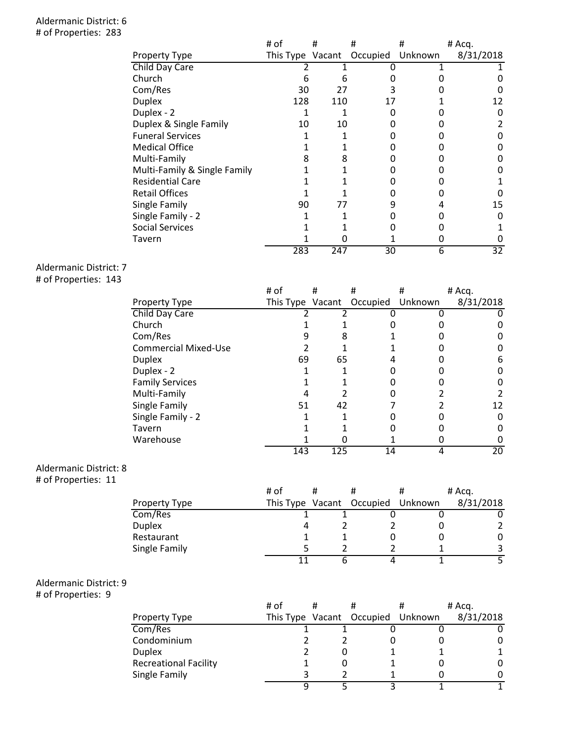## Aldermanic District: 6 # of Properties: 283

|                              | # of             | #   | #                | # | # Acq.    |
|------------------------------|------------------|-----|------------------|---|-----------|
| Property Type                | This Type Vacant |     | Occupied Unknown |   | 8/31/2018 |
| Child Day Care               |                  |     |                  |   |           |
| Church                       | 6                | ь   |                  |   |           |
| Com/Res                      | 30               | 27  |                  |   |           |
| <b>Duplex</b>                | 128              | 110 | 17               |   | 12        |
| Duplex - 2                   |                  |     |                  |   |           |
| Duplex & Single Family       | 10               | 10  |                  |   |           |
| <b>Funeral Services</b>      |                  |     |                  |   |           |
| <b>Medical Office</b>        |                  |     |                  |   |           |
| Multi-Family                 | 8                |     |                  |   |           |
| Multi-Family & Single Family |                  |     |                  |   |           |
| <b>Residential Care</b>      |                  |     |                  |   |           |
| <b>Retail Offices</b>        |                  |     |                  |   |           |
| Single Family                | 90               | 77  | 9                |   | 15        |
| Single Family - 2            |                  |     |                  |   |           |
| <b>Social Services</b>       |                  |     |                  |   |           |
| Tavern                       |                  |     |                  |   |           |
|                              | 283              | 247 | 30               | 6 | 32        |

Aldermanic District: 7

# of Properties: 143

|     |                  |                      | # Acq.    |
|-----|------------------|----------------------|-----------|
|     | Occupied         | Unknown              | 8/31/2018 |
|     |                  |                      |           |
|     |                  |                      |           |
|     |                  |                      |           |
|     |                  |                      |           |
| 69  |                  |                      | 6         |
|     |                  |                      |           |
|     |                  |                      |           |
|     |                  |                      |           |
| 51  |                  |                      | 12        |
|     |                  |                      |           |
|     |                  |                      |           |
|     |                  |                      |           |
| 143 |                  | 4                    | 20        |
|     | This Type Vacant | 8<br>65<br>42<br>125 | 14        |

## Aldermanic District: 8

# of Properties: 11

|               | # of |                                   | # Acq.    |
|---------------|------|-----------------------------------|-----------|
| Property Type |      | This Type Vacant Occupied Unknown | 8/31/2018 |
| Com/Res       |      |                                   |           |
| <b>Duplex</b> |      |                                   |           |
| Restaurant    |      |                                   |           |
| Single Family |      |                                   |           |
|               |      |                                   |           |

# Aldermanic District: 9

# of Properties: 9

|                              | # of | # | #                                 | # Acq.    |
|------------------------------|------|---|-----------------------------------|-----------|
| Property Type                |      |   | This Type Vacant Occupied Unknown | 8/31/2018 |
| Com/Res                      |      |   |                                   |           |
| Condominium                  |      |   |                                   |           |
| <b>Duplex</b>                |      |   |                                   |           |
| <b>Recreational Facility</b> |      |   |                                   |           |
| Single Family                |      |   |                                   |           |
|                              |      |   |                                   |           |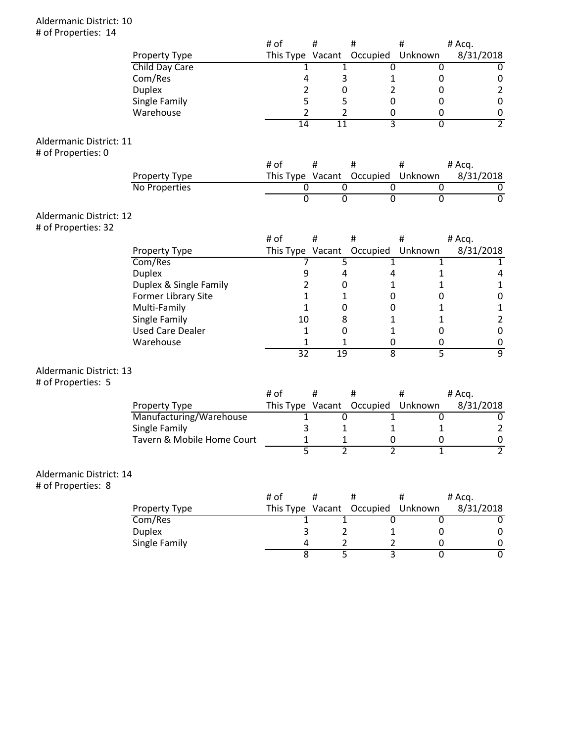## Aldermanic District: 10 # of Properties: 14

|                         |                            | # of |                 | #                | #                         | #                                | # Acq.              |
|-------------------------|----------------------------|------|-----------------|------------------|---------------------------|----------------------------------|---------------------|
|                         | Property Type              |      |                 |                  | This Type Vacant Occupied | Unknown                          | 8/31/2018           |
|                         | Child Day Care             |      | 1               |                  | 1                         | 0<br>0                           | 0                   |
|                         | Com/Res                    |      | 4               |                  | 3                         | 0<br>1                           | 0                   |
|                         | <b>Duplex</b>              |      | $\overline{2}$  | 0                |                           | 2<br>0                           | $\overline{2}$      |
|                         | Single Family              |      | 5               | 5                |                           | 0<br>0                           | $\pmb{0}$           |
|                         | Warehouse                  |      | $\overline{2}$  |                  | 2                         | $\pmb{0}$<br>0                   | $\pmb{0}$           |
|                         |                            |      | 14              | $\overline{11}$  |                           | 3<br>$\overline{0}$              | $\overline{2}$      |
| Aldermanic District: 11 |                            |      |                 |                  |                           |                                  |                     |
| # of Properties: 0      |                            |      |                 |                  |                           |                                  |                     |
|                         |                            | # of |                 | $\#$             | #                         | #                                | # Acq.              |
|                         | Property Type              |      |                 | This Type Vacant | Occupied                  | Unknown                          | 8/31/2018           |
|                         | No Properties              |      | 0               |                  | $\overline{0}$            | 0<br>0                           | 0                   |
|                         |                            |      | $\overline{0}$  |                  | $\overline{0}$            | $\overline{0}$<br>$\overline{0}$ | $\overline{0}$      |
| Aldermanic District: 12 |                            |      |                 |                  |                           |                                  |                     |
| # of Properties: 32     |                            |      |                 |                  |                           |                                  |                     |
|                         |                            | # of |                 | #                | #                         | #                                | # Acq.              |
|                         | Property Type              |      |                 |                  | This Type Vacant Occupied | Unknown                          | 8/31/2018           |
|                         | Com/Res                    |      | 7               |                  | 5                         | 1<br>1                           | $\mathbf{1}$        |
|                         | <b>Duplex</b>              |      | 9               |                  | 4                         | 4<br>1                           | 4                   |
|                         | Duplex & Single Family     |      | 2               | 0                |                           | 1<br>1                           | $\mathbf{1}$        |
|                         | Former Library Site        |      | 1               |                  | 1                         | 0<br>0                           | $\pmb{0}$           |
|                         | Multi-Family               |      | 1               |                  | 0                         | 0<br>1                           | $\mathbf 1$         |
|                         | Single Family              |      | 10              | 8                |                           | 1<br>1                           | $\overline{2}$      |
|                         | <b>Used Care Dealer</b>    |      | 1               | 0                |                           | 1<br>0                           | $\pmb{0}$           |
|                         | Warehouse                  |      | 1               |                  | 1                         | 0<br>0                           | 0                   |
|                         |                            |      | $\overline{32}$ | $\overline{19}$  |                           | $\overline{\bf 8}$<br>5          | ब्र                 |
| Aldermanic District: 13 |                            |      |                 |                  |                           |                                  |                     |
| # of Properties: 5      |                            |      |                 |                  |                           |                                  |                     |
|                         |                            | # of |                 | $\#$             | $\#$                      | #                                | # Acq.              |
|                         | Property Type              |      |                 |                  | This Type Vacant Occupied | Unknown                          | 8/31/2018           |
|                         | Manufacturing/Warehouse    |      | 1               |                  | $\overline{0}$            | $\mathbf{1}$<br>0                | 0                   |
|                         | Single Family              |      | 3               |                  | 1                         | $\mathbf{1}$<br>$\mathbf{1}$     | $\overline{2}$      |
|                         | Tavern & Mobile Home Court |      | 1               |                  | 1                         | $\pmb{0}$<br>0                   | $\pmb{0}$           |
|                         |                            |      | $\overline{5}$  |                  | $\overline{2}$            | $\overline{2}$<br>$\overline{1}$ | $\overline{2}$      |
| Aldermanic District: 14 |                            |      |                 |                  |                           |                                  |                     |
| # of Properties: 8      |                            |      |                 |                  |                           |                                  |                     |
|                         |                            | # of |                 | $\#$             | #                         | #                                | # Acq.              |
|                         | Property Type              |      |                 | This Type Vacant | Occupied                  | Unknown                          | 8/31/2018           |
|                         | Com/Res                    |      | 1               |                  | 1                         | $\overline{0}$<br>0              | $\overline{0}$      |
|                         | <b>Duplex</b>              |      | 3               |                  | $\overline{2}$            | 0<br>1                           | $\pmb{0}$           |
|                         | Single Family              |      | 4               |                  |                           | $\overline{2}$<br>0              |                     |
|                         |                            |      | $\overline{8}$  |                  | 2<br>$\overline{5}$       | $\overline{3}$<br>$\overline{0}$ | 0<br>$\overline{0}$ |
|                         |                            |      |                 |                  |                           |                                  |                     |